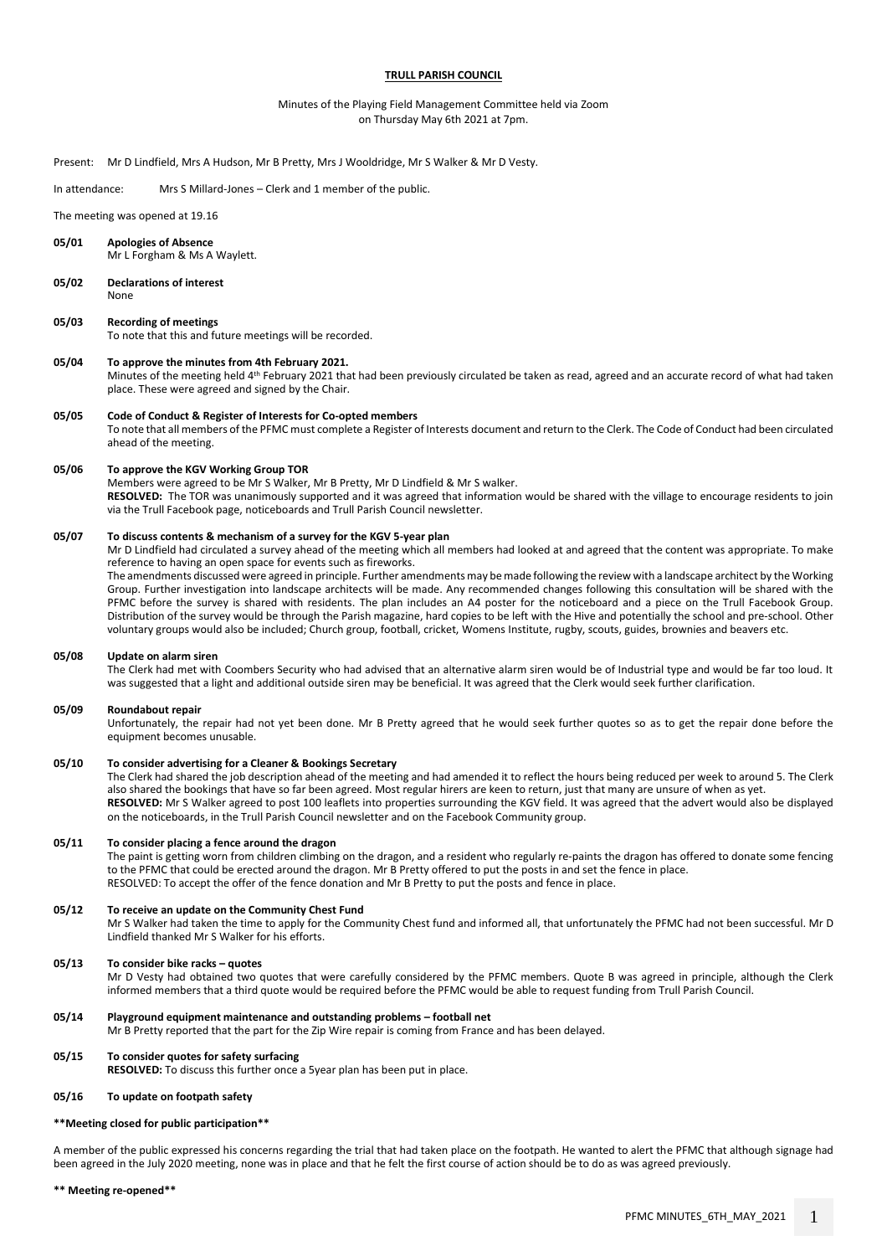## **TRULL PARISH COUNCIL**

## Minutes of the Playing Field Management Committee held via Zoom on Thursday May 6th 2021 at 7pm.

#### Present: Mr D Lindfield, Mrs A Hudson, Mr B Pretty, Mrs J Wooldridge, Mr S Walker & Mr D Vesty.

#### In attendance: Mrs S Millard-Jones – Clerk and 1 member of the public.

The meeting was opened at 19.16

- **05/01 Apologies of Absence** Mr L Forgham & Ms A Waylett.
- **05/02 Declarations of interest** None

#### **05/03 Recording of meetings**

To note that this and future meetings will be recorded.

#### **05/04 To approve the minutes from 4th February 2021.**

Minutes of the meeting held 4th February 2021 that had been previously circulated be taken as read, agreed and an accurate record of what had taken place. These were agreed and signed by the Chair.

#### **05/05 Code of Conduct & Register of Interests for Co-opted members**

To note that all members of the PFMC must complete a Register of Interests document and return to the Clerk. The Code of Conduct had been circulated ahead of the meeting.

#### **05/06 To approve the KGV Working Group TOR**

Members were agreed to be Mr S Walker, Mr B Pretty, Mr D Lindfield & Mr S walker. **RESOLVED:** The TOR was unanimously supported and it was agreed that information would be shared with the village to encourage residents to join via the Trull Facebook page, noticeboards and Trull Parish Council newsletter.

#### **05/07 To discuss contents & mechanism of a survey for the KGV 5-year plan**

Mr D Lindfield had circulated a survey ahead of the meeting which all members had looked at and agreed that the content was appropriate. To make reference to having an open space for events such as fireworks.

The amendments discussed were agreed in principle. Further amendments may be made following the review with a landscape architect by the Working Group. Further investigation into landscape architects will be made. Any recommended changes following this consultation will be shared with the PFMC before the survey is shared with residents. The plan includes an A4 poster for the noticeboard and a piece on the Trull Facebook Group. Distribution of the survey would be through the Parish magazine, hard copies to be left with the Hive and potentially the school and pre-school. Other voluntary groups would also be included; Church group, football, cricket, Womens Institute, rugby, scouts, guides, brownies and beavers etc.

#### **05/08 Update on alarm siren**

The Clerk had met with Coombers Security who had advised that an alternative alarm siren would be of Industrial type and would be far too loud. It was suggested that a light and additional outside siren may be beneficial. It was agreed that the Clerk would seek further clarification.

#### **05/09 Roundabout repair**

Unfortunately, the repair had not yet been done. Mr B Pretty agreed that he would seek further quotes so as to get the repair done before the equipment becomes unusable.

# **05/10 To consider advertising for a Cleaner & Bookings Secretary**

The Clerk had shared the job description ahead of the meeting and had amended it to reflect the hours being reduced per week to around 5. The Clerk also shared the bookings that have so far been agreed. Most regular hirers are keen to return, just that many are unsure of when as yet. **RESOLVED:** Mr S Walker agreed to post 100 leaflets into properties surrounding the KGV field. It was agreed that the advert would also be displayed on the noticeboards, in the Trull Parish Council newsletter and on the Facebook Community group.

#### **05/11 To consider placing a fence around the dragon**

The paint is getting worn from children climbing on the dragon, and a resident who regularly re-paints the dragon has offered to donate some fencing to the PFMC that could be erected around the dragon. Mr B Pretty offered to put the posts in and set the fence in place. RESOLVED: To accept the offer of the fence donation and Mr B Pretty to put the posts and fence in place.

#### **05/12 To receive an update on the Community Chest Fund**

Mr S Walker had taken the time to apply for the Community Chest fund and informed all, that unfortunately the PFMC had not been successful. Mr D Lindfield thanked Mr S Walker for his efforts.

#### **05/13 To consider bike racks – quotes**

Mr D Vesty had obtained two quotes that were carefully considered by the PFMC members. Quote B was agreed in principle, although the Clerk informed members that a third quote would be required before the PFMC would be able to request funding from Trull Parish Council.

### **05/14 Playground equipment maintenance and outstanding problems – football net**

Mr B Pretty reported that the part for the Zip Wire repair is coming from France and has been delayed.

#### **05/15 To consider quotes for safety surfacing**

**RESOLVED:** To discuss this further once a 5year plan has been put in place.

#### **05/16 To update on footpath safety**

#### **\*\*Meeting closed for public participation\*\***

A member of the public expressed his concerns regarding the trial that had taken place on the footpath. He wanted to alert the PFMC that although signage had been agreed in the July 2020 meeting, none was in place and that he felt the first course of action should be to do as was agreed previously.